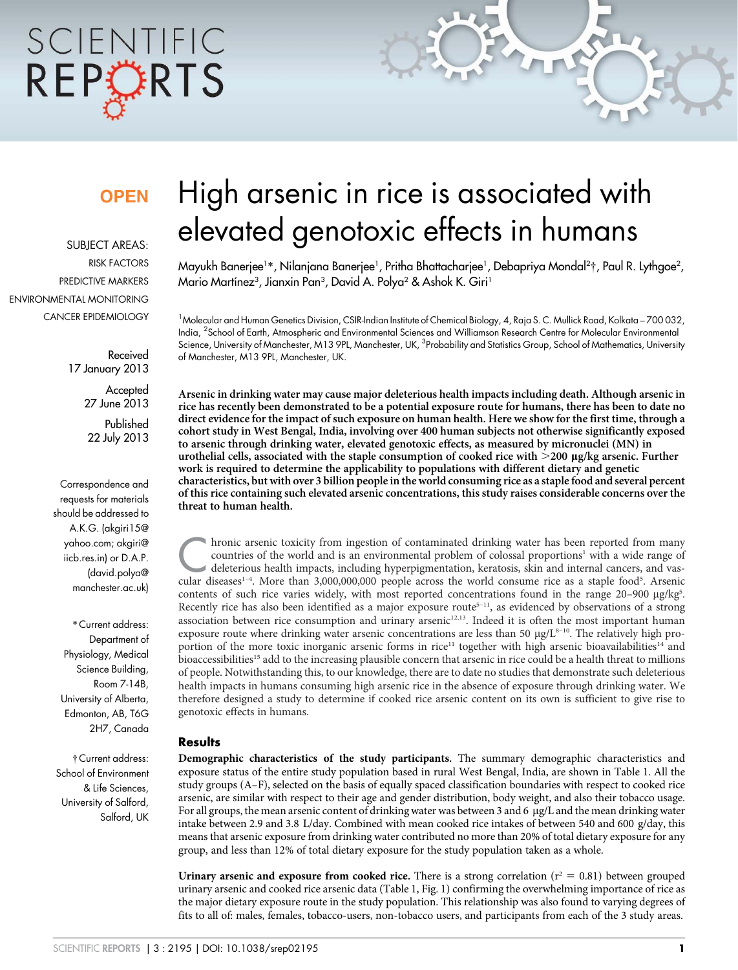# SCIENTIFIC REPORTS

### **OPEN**

SUBJECT AREAS: RISK FACTORS PREDICTIVE MARKERS ENVIRONMENTAL MONITORING CANCER EPIDEMIOLOGY

> Received 17 January 2013

> > **Accepted** 27 June 2013 Published 22 July 2013

Correspondence and requests for materials should be addressed to A.K.G. (akgiri15@ yahoo.com; akgiri@ iicb.res.in) or D.A.P. (david.polya@ manchester.ac.uk)

\* Current address: Department of Physiology, Medical Science Building, Room 7-14B, University of Alberta, Edmonton, AB, T6G 2H7, Canada

{ Current address: School of Environment & Life Sciences, University of Salford, Salford, UK

## High arsenic in rice is associated with elevated genotoxic effects in humans

Mayukh Banerjee<sup>1</sup>\*, Nilanjana Banerjee<sup>1</sup>, Pritha Bhattacharjee<sup>1</sup>, Debapriya Mondal<sup>2</sup>†, Paul R. Lythgoe<sup>2</sup>, Mario Martínez<sup>3</sup>, Jianxin Pan<sup>3</sup>, David A. Polya<sup>2</sup> & Ashok K. Giri<sup>1</sup>

<sup>1</sup>Molecular and Human Genetics Division, CSIR-Indian Institute of Chemical Biology, 4, Raja S. C. Mullick Road, Kolkata – 700 032, India, <sup>2</sup> School of Earth, Atmospheric and Environmental Sciences and Williamson Research Centre for Molecular Environmental Science, University of Manchester, M13 9PL, Manchester, UK, <sup>3</sup>Probability and Statistics Group, School of Mathematics, University of Manchester, M13 9PL, Manchester, UK.

Arsenic in drinking water may cause major deleterious health impacts including death. Although arsenic in rice has recently been demonstrated to be a potential exposure route for humans, there has been to date no direct evidence for the impact of such exposure on human health. Here we show for the first time, through a cohort study in West Bengal, India, involving over 400 human subjects not otherwise significantly exposed to arsenic through drinking water, elevated genotoxic effects, as measured by micronuclei (MN) in urothelial cells, associated with the staple consumption of cooked rice with  $>$ 200 µg/kg arsenic. Further work is required to determine the applicability to populations with different dietary and genetic characteristics, but with over 3 billion people in the world consuming rice as a staple food and several percent of this rice containing such elevated arsenic concentrations, this study raises considerable concerns over the threat to human health.

hronic arsenic toxicity from ingestion of contaminated drinking water has been reported from many countries of the world and is an environmental problem of colossal proportions<sup>1</sup> with a wide range of deleterious health im hronic arsenic toxicity from ingestion of contaminated drinking water has been reported from many countries of the world and is an environmental problem of colossal proportions<sup>1</sup> with a wide range of deleterious health impacts, including hyperpigmentation, keratosis, skin and internal cancers, and vascontents of such rice varies widely, with most reported concentrations found in the range 20-900 µg/kg5. Recently rice has also been identified as a major exposure route<sup>5-11</sup>, as evidenced by observations of a strong association between rice consumption and urinary arsenic<sup>12,13</sup>. Indeed it is often the most important human exposure route where drinking water arsenic concentrations are less than 50 µg/L<sup>8-10</sup>. The relatively high proportion of the more toxic inorganic arsenic forms in rice<sup>11</sup> together with high arsenic bioavailabilities<sup>14</sup> and bioaccessibilities<sup>15</sup> add to the increasing plausible concern that arsenic in rice could be a health threat to millions of people. Notwithstanding this, to our knowledge, there are to date no studies that demonstrate such deleterious health impacts in humans consuming high arsenic rice in the absence of exposure through drinking water. We therefore designed a study to determine if cooked rice arsenic content on its own is sufficient to give rise to genotoxic effects in humans.

#### Results

Demographic characteristics of the study participants. The summary demographic characteristics and exposure status of the entire study population based in rural West Bengal, India, are shown in Table 1. All the study groups (A–F), selected on the basis of equally spaced classification boundaries with respect to cooked rice arsenic, are similar with respect to their age and gender distribution, body weight, and also their tobacco usage. For all groups, the mean arsenic content of drinking water was between 3 and 6  $\mu$ g/L and the mean drinking water intake between 2.9 and 3.8 L/day. Combined with mean cooked rice intakes of between 540 and 600 g/day, this means that arsenic exposure from drinking water contributed no more than 20% of total dietary exposure for any group, and less than 12% of total dietary exposure for the study population taken as a whole.

Urinary arsenic and exposure from cooked rice. There is a strong correlation ( $r^2 = 0.81$ ) between grouped urinary arsenic and cooked rice arsenic data (Table 1, Fig. 1) confirming the overwhelming importance of rice as the major dietary exposure route in the study population. This relationship was also found to varying degrees of fits to all of: males, females, tobacco-users, non-tobacco users, and participants from each of the 3 study areas.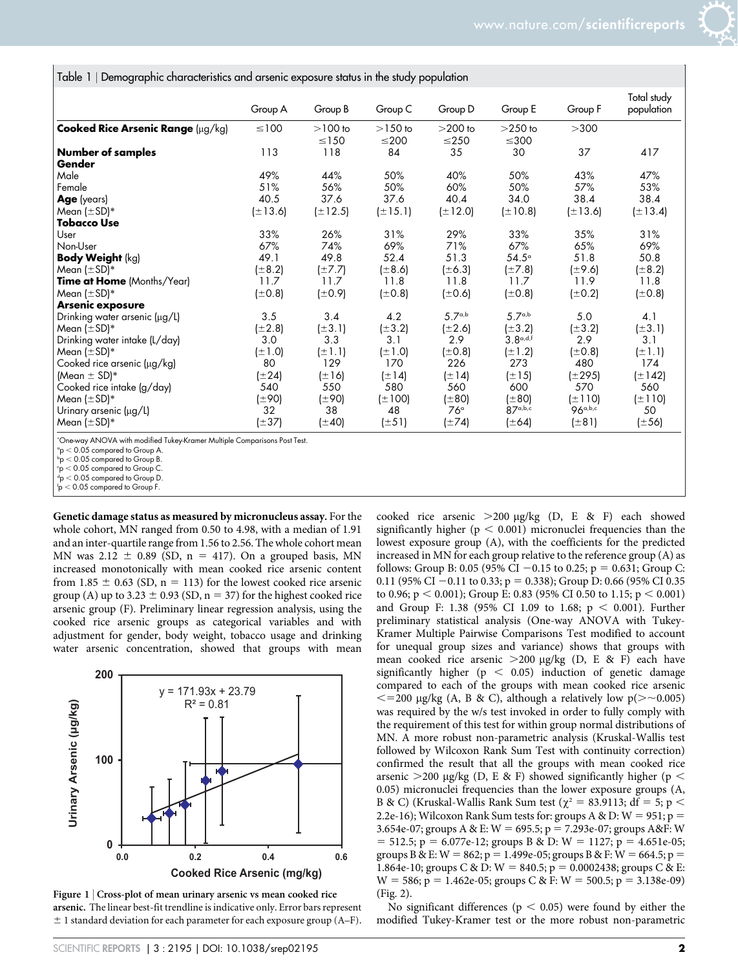Table 1 <sup>|</sup> Demographic characteristics and arsenic exposure status in the study population

|                                                                                                                              | Group A      | Group B                 | Group C                 | Group D                 | Group E                 | Group F      | Total study<br>population |
|------------------------------------------------------------------------------------------------------------------------------|--------------|-------------------------|-------------------------|-------------------------|-------------------------|--------------|---------------------------|
| Cooked Rice Arsenic Range (µg/kg)                                                                                            | $\leq 100$   | $>100$ to<br>$\leq$ 150 | $>150$ to<br>$\leq$ 200 | $>200$ to<br>$\leq$ 250 | $>250$ to<br>$\leq$ 300 | >300         |                           |
| <b>Number of samples</b><br>Gender                                                                                           | 113          | 118                     | 84                      | 35                      | 30                      | 37           | 417                       |
| Male                                                                                                                         | 49%          | 44%                     | 50%                     | 40%                     | 50%                     | 43%          | 47%                       |
| Female                                                                                                                       | 51%          | 56%                     | 50%                     | 60%                     | 50%                     | 57%          | 53%                       |
| <b>Age</b> (years)                                                                                                           | 40.5         | 37.6                    | 37.6                    | 40.4                    | 34.0                    | 38.4         | 38.4                      |
| Mean $(\pm SD)^*$                                                                                                            | $(\pm 13.6)$ | $(\pm 12.5)$            | $(\pm 15.1)$            | $(\pm 12.0)$            | $(\pm 10.8)$            | $(\pm 13.6)$ | $(\pm 13.4)$              |
| Tobacco Use                                                                                                                  |              |                         |                         |                         |                         |              |                           |
| User                                                                                                                         | 33%          | 26%                     | 31%                     | 29%                     | 33%                     | 35%          | 31%                       |
| Non-User                                                                                                                     | 67%          | 74%                     | 69%                     | 71%                     | 67%                     | 65%          | 69%                       |
| <b>Body Weight (kg)</b>                                                                                                      | 49.1         | 49.8                    | 52.4                    | 51.3                    | $54.5^\circ$            | 51.8         | 50.8                      |
| Mean $(\pm SD)^*$                                                                                                            | $(\pm 8.2)$  | $(\pm 7.7)$             | (±8.6)                  | $(\pm 6.3)$             | $(\pm 7.8)$             | $(\pm 9.6)$  | $(\pm 8.2)$               |
| <b>Time at Home</b> (Months/Year)                                                                                            | 11.7         | 11.7                    | 11.8                    | 11.8                    | 11.7                    | 11.9         | 11.8                      |
| Mean $(\pm SD)^*$                                                                                                            | $(\pm 0.8)$  | $(\pm 0.9)$             | $(\pm 0.8)$             | $(\pm 0.6)$             | $(\pm 0.8)$             | $(\pm 0.2)$  | $(\pm 0.8)$               |
| <b>Arsenic exposure</b>                                                                                                      |              |                         |                         |                         |                         |              |                           |
| Drinking water arsenic (µg/L)                                                                                                | 3.5          | 3.4                     | 4.2                     | 5.7a,b                  | 5.7a,b                  | 5.0          | 4.1                       |
| Mean $(\pm SD)^*$                                                                                                            | $(\pm 2.8)$  | $(\pm 3.1)$             | $(\pm 3.2)$             | $(\pm 2.6)$             | $(\pm 3.2)$             | $(\pm 3.2)$  | $(\pm 3.1)$               |
| Drinking water intake (L/day)                                                                                                | 3.0          | 3.3                     | 3.1                     | 2.9                     | 3.8a,d,f                | 2.9          | 3.1                       |
| Mean $(\pm SD)^*$                                                                                                            | $(\pm 1.0)$  | $(\pm 1.1)$             | $(\pm 1.0)$             | (±0.8)                  | $(\pm 1.2)$             | $(\pm 0.8)$  | $(\pm 1.1)$               |
| Cooked rice arsenic (µg/kg)                                                                                                  | 80           | 129                     | 170                     | 226                     | 273                     | 480          | 174                       |
| (Mean $\pm$ SD)*                                                                                                             | $(\pm 24)$   | $(\pm 16)$              | $(\pm 14)$              | $(\pm 14)$              | $(\pm 15)$              | (±295)       | (±142)                    |
| Cooked rice intake (g/day)                                                                                                   | 540          | 550                     | 580                     | 560                     | 600                     | 570          | 560                       |
| Mean $(\pm SD)^*$                                                                                                            | (±90)        | (±90)                   | $(\pm 100)$             | $(\pm 80)$              | $(\pm 80)$              | $(\pm 110)$  | $(\pm 110)$               |
| Urinary arsenic (µg/L)                                                                                                       | 32           | 38                      | 48                      | 76°                     | 87a,b,c                 | 96a,b,c      | 50                        |
| Mean $(\pm SD)^*$                                                                                                            | $(\pm 37)$   | $(\pm 40)$              | $(\pm 51)$              | $(\pm 74)$              | (±64)                   | (±81)        | (±56)                     |
| *One-way ANOVA with modified Tukey-Kramer Multiple Comparisons Post Test.<br>$\degree$ p < 0.05 compared to Group A.<br>.002 |              |                         |                         |                         |                         |              |                           |

0.05 compared to Group B.

 $c_p < 0.05$  compared to Group C.

 $f_p < 0.05$  compared to Group F.

Genetic damage status as measured by micronucleus assay. For the whole cohort, MN ranged from 0.50 to 4.98, with a median of 1.91 and an inter-quartile range from 1.56 to 2.56. The whole cohort mean MN was 2.12  $\pm$  0.89 (SD, n = 417). On a grouped basis, MN increased monotonically with mean cooked rice arsenic content from 1.85  $\pm$  0.63 (SD, n = 113) for the lowest cooked rice arsenic group (A) up to 3.23  $\pm$  0.93 (SD, n = 37) for the highest cooked rice arsenic group (F). Preliminary linear regression analysis, using the cooked rice arsenic groups as categorical variables and with adjustment for gender, body weight, tobacco usage and drinking water arsenic concentration, showed that groups with mean



Figure 1 | Cross-plot of mean urinary arsenic vs mean cooked rice arsenic. The linear best-fit trendline is indicative only. Error bars represent  $\pm$  1 standard deviation for each parameter for each exposure group (A–F).

cooked rice arsenic  $>200 \text{ µg/kg}$  (D, E & F) each showed significantly higher ( $p < 0.001$ ) micronuclei frequencies than the lowest exposure group (A), with the coefficients for the predicted increased in MN for each group relative to the reference group (A) as follows: Group B: 0.05 (95% CI -0.15 to 0.25; p = 0.631; Group C: 0.11 (95% CI -0.11 to 0.33; p = 0.338); Group D: 0.66 (95% CI 0.35 to 0.96;  $p < 0.001$ ); Group E: 0.83 (95% CI 0.50 to 1.15;  $p < 0.001$ ) and Group F: 1.38 (95% CI 1.09 to 1.68;  $p < 0.001$ ). Further preliminary statistical analysis (One-way ANOVA with Tukey-Kramer Multiple Pairwise Comparisons Test modified to account for unequal group sizes and variance) shows that groups with mean cooked rice arsenic  $>200 \mu g/kg$  (D, E & F) each have significantly higher ( $p < 0.05$ ) induction of genetic damage compared to each of the groups with mean cooked rice arsenic  $\epsilon$  = 200 µg/kg (A, B & C), although a relatively low p( $\ge$  -0.005) was required by the w/s test invoked in order to fully comply with the requirement of this test for within group normal distributions of MN. A more robust non-parametric analysis (Kruskal-Wallis test followed by Wilcoxon Rank Sum Test with continuity correction) confirmed the result that all the groups with mean cooked rice arsenic  $>$  200 µg/kg (D, E & F) showed significantly higher (p < 0.05) micronuclei frequencies than the lower exposure groups (A, B & C) (Kruskal-Wallis Rank Sum test ( $\chi^2 = 83.9113$ ; df = 5; p < 2.2e-16); Wilcoxon Rank Sum tests for: groups A & D:  $W = 951$ ; p = 3.654e-07; groups A & E: W = 695.5; p = 7.293e-07; groups A&F: W = 512.5; p = 6.077e-12; groups B & D: W = 1127; p = 4.651e-05; groups B & E: W = 862; p = 1.499e-05; groups B & F: W = 664.5; p = 1.864e-10; groups C & D: W = 840.5; p = 0.0002438; groups C & E:  $W = 586$ ; p = 1.462e-05; groups C & F: W = 500.5; p = 3.138e-09) (Fig. 2).

No significant differences ( $p < 0.05$ ) were found by either the modified Tukey-Kramer test or the more robust non-parametric

 $<$  0.05 compared to Group D.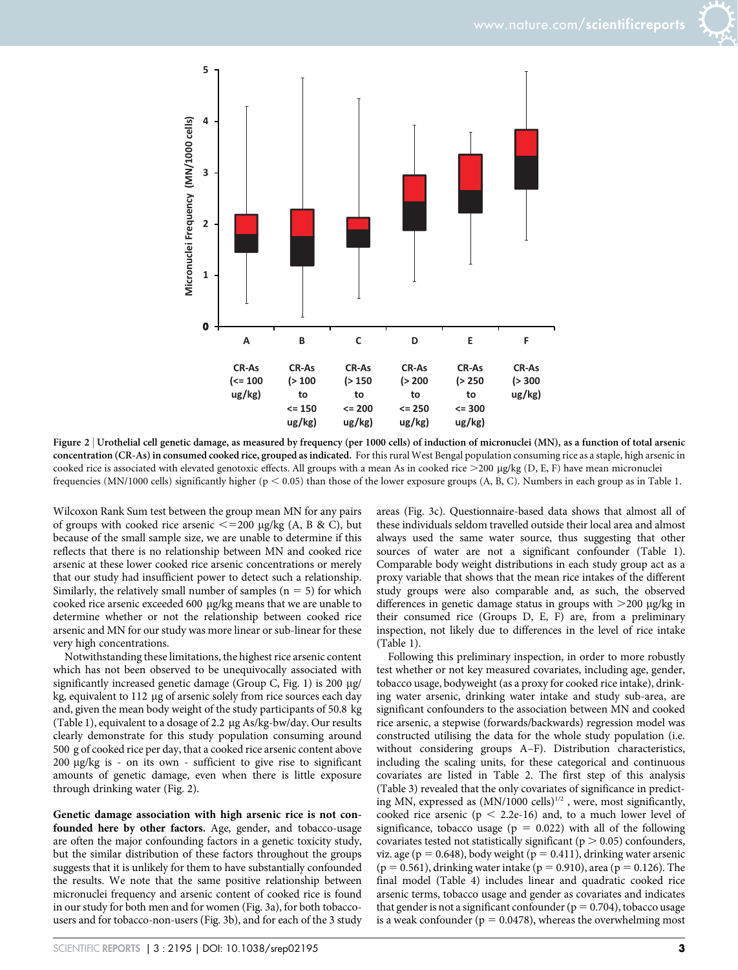



Figure 2 <sup>|</sup> Urothelial cell genetic damage, as measured by frequency (per 1000 cells) of induction of micronuclei (MN), as a function of total arsenic concentration (CR-As) in consumed cooked rice, grouped as indicated. For this rural West Bengal population consuming rice as a staple, high arsenic in cooked rice is associated with elevated genotoxic effects. All groups with a mean As in cooked rice  $>$ 200  $\mu$ g/kg (D, E, F) have mean micronuclei frequencies (MN/1000 cells) significantly higher ( $p < 0.05$ ) than those of the lower exposure groups (A, B, C). Numbers in each group as in Table 1.

Wilcoxon Rank Sum test between the group mean MN for any pairs of groups with cooked rice arsenic  $\leq$  = 200 µg/kg (A, B & C), but because of the small sample size, we are unable to determine if this reflects that there is no relationship between MN and cooked rice arsenic at these lower cooked rice arsenic concentrations or merely that our study had insufficient power to detect such a relationship. Similarly, the relatively small number of samples  $(n = 5)$  for which cooked rice arsenic exceeded 600 mg/kg means that we are unable to determine whether or not the relationship between cooked rice arsenic and MN for our study was more linear or sub-linear for these very high concentrations.

Notwithstanding these limitations, the highest rice arsenic content which has not been observed to be unequivocally associated with significantly increased genetic damage (Group C, Fig. 1) is 200  $\mu$ g/ kg, equivalent to 112 µg of arsenic solely from rice sources each day and, given the mean body weight of the study participants of 50.8 kg (Table 1), equivalent to a dosage of 2.2  $\mu$ g As/kg-bw/day. Our results clearly demonstrate for this study population consuming around 500 g of cooked rice per day, that a cooked rice arsenic content above  $200 \mu g/kg$  is - on its own - sufficient to give rise to significant amounts of genetic damage, even when there is little exposure through drinking water (Fig. 2).

Genetic damage association with high arsenic rice is not confounded here by other factors. Age, gender, and tobacco-usage are often the major confounding factors in a genetic toxicity study, but the similar distribution of these factors throughout the groups suggests that it is unlikely for them to have substantially confounded the results. We note that the same positive relationship between micronuclei frequency and arsenic content of cooked rice is found in our study for both men and for women (Fig. 3a), for both tobaccousers and for tobacco-non-users (Fig. 3b), and for each of the 3 study areas (Fig. 3c). Questionnaire-based data shows that almost all of these individuals seldom travelled outside their local area and almost always used the same water source, thus suggesting that other sources of water are not a significant confounder (Table 1). Comparable body weight distributions in each study group act as a proxy variable that shows that the mean rice intakes of the different study groups were also comparable and, as such, the observed differences in genetic damage status in groups with  $>200 \mu g/kg$  in their consumed rice (Groups D, E, F) are, from a preliminary inspection, not likely due to differences in the level of rice intake (Table 1).

Following this preliminary inspection, in order to more robustly test whether or not key measured covariates, including age, gender, tobacco usage, bodyweight (as a proxy for cooked rice intake), drinking water arsenic, drinking water intake and study sub-area, are significant confounders to the association between MN and cooked rice arsenic, a stepwise (forwards/backwards) regression model was constructed utilising the data for the whole study population (i.e. without considering groups A–F). Distribution characteristics, including the scaling units, for these categorical and continuous covariates are listed in Table 2. The first step of this analysis (Table 3) revealed that the only covariates of significance in predicting MN, expressed as  $(MN/1000 \text{ cells})^{1/2}$  , were, most significantly, cooked rice arsenic ( $p < 2.2e-16$ ) and, to a much lower level of significance, tobacco usage ( $p = 0.022$ ) with all of the following covariates tested not statistically significant ( $p > 0.05$ ) confounders, viz. age ( $p = 0.648$ ), body weight ( $p = 0.411$ ), drinking water arsenic  $(p = 0.561)$ , drinking water intake  $(p = 0.910)$ , area  $(p = 0.126)$ . The final model (Table 4) includes linear and quadratic cooked rice arsenic terms, tobacco usage and gender as covariates and indicates that gender is not a significant confounder ( $p = 0.704$ ), tobacco usage is a weak confounder ( $p = 0.0478$ ), whereas the overwhelming most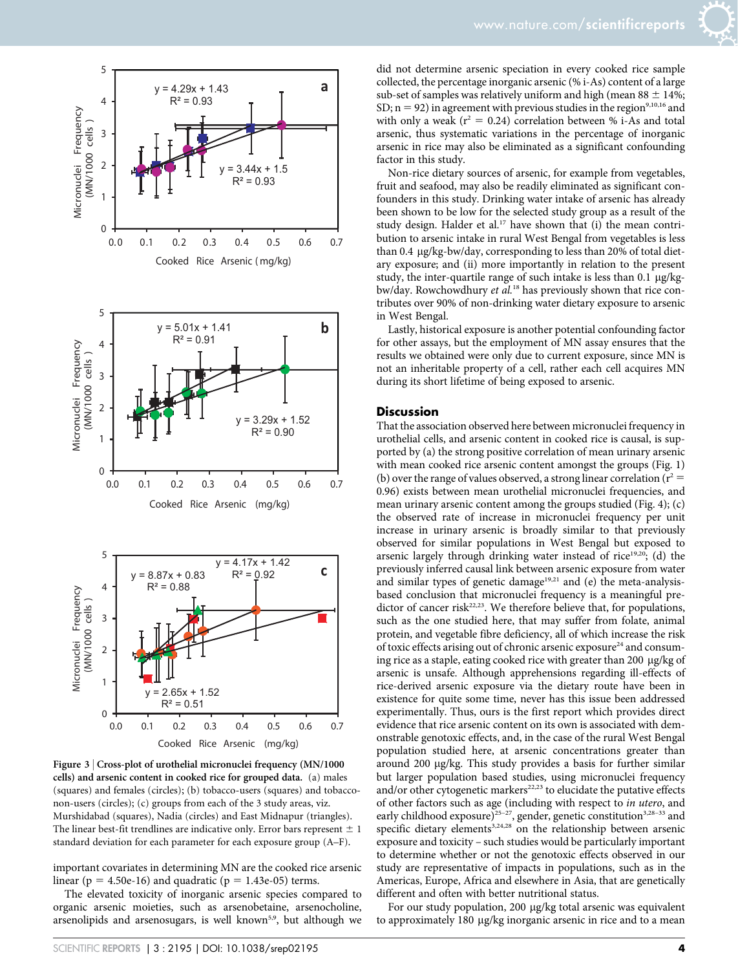

Figure 3 <sup>|</sup> Cross-plot of urothelial micronuclei frequency (MN/1000 cells) and arsenic content in cooked rice for grouped data. (a) males (squares) and females (circles); (b) tobacco-users (squares) and tobacconon-users (circles); (c) groups from each of the 3 study areas, viz. Murshidabad (squares), Nadia (circles) and East Midnapur (triangles). The linear best-fit trendlines are indicative only. Error bars represent  $\pm 1$ standard deviation for each parameter for each exposure group (A–F).

important covariates in determining MN are the cooked rice arsenic linear ( $p = 4.50e-16$ ) and quadratic ( $p = 1.43e-05$ ) terms.

The elevated toxicity of inorganic arsenic species compared to organic arsenic moieties, such as arsenobetaine, arsenocholine, arsenolipids and arsenosugars, is well known<sup>5,9</sup>, but although we did not determine arsenic speciation in every cooked rice sample collected, the percentage inorganic arsenic (% i-As) content of a large sub-set of samples was relatively uniform and high (mean  $88 \pm 14\%$ ; SD;  $n = 92$ ) in agreement with previous studies in the region<sup>9,10,16</sup> and with only a weak ( $r^2 = 0.24$ ) correlation between % i-As and total arsenic, thus systematic variations in the percentage of inorganic arsenic in rice may also be eliminated as a significant confounding factor in this study.

Non-rice dietary sources of arsenic, for example from vegetables, fruit and seafood, may also be readily eliminated as significant confounders in this study. Drinking water intake of arsenic has already been shown to be low for the selected study group as a result of the study design. Halder et al.<sup>17</sup> have shown that (i) the mean contribution to arsenic intake in rural West Bengal from vegetables is less than 0.4 mg/kg-bw/day, corresponding to less than 20% of total dietary exposure; and (ii) more importantly in relation to the present study, the inter-quartile range of such intake is less than  $0.1 \mu g/kg$ bw/day. Rowchowdhury *et al.*<sup>18</sup> has previously shown that rice contributes over 90% of non-drinking water dietary exposure to arsenic in West Bengal.

Lastly, historical exposure is another potential confounding factor for other assays, but the employment of MN assay ensures that the results we obtained were only due to current exposure, since MN is not an inheritable property of a cell, rather each cell acquires MN during its short lifetime of being exposed to arsenic.

#### **Discussion**

That the association observed here between micronuclei frequency in urothelial cells, and arsenic content in cooked rice is causal, is supported by (a) the strong positive correlation of mean urinary arsenic with mean cooked rice arsenic content amongst the groups (Fig. 1) (b) over the range of values observed, a strong linear correlation ( $r^2 =$ 0.96) exists between mean urothelial micronuclei frequencies, and mean urinary arsenic content among the groups studied (Fig. 4); (c) the observed rate of increase in micronuclei frequency per unit increase in urinary arsenic is broadly similar to that previously observed for similar populations in West Bengal but exposed to arsenic largely through drinking water instead of rice<sup>19,20</sup>; (d) the previously inferred causal link between arsenic exposure from water and similar types of genetic damage $19,21$  and (e) the meta-analysisbased conclusion that micronuclei frequency is a meaningful predictor of cancer risk<sup>22,23</sup>. We therefore believe that, for populations, such as the one studied here, that may suffer from folate, animal protein, and vegetable fibre deficiency, all of which increase the risk of toxic effects arising out of chronic arsenic exposure<sup>24</sup> and consuming rice as a staple, eating cooked rice with greater than 200  $\mu$ g/kg of arsenic is unsafe. Although apprehensions regarding ill-effects of rice-derived arsenic exposure via the dietary route have been in existence for quite some time, never has this issue been addressed experimentally. Thus, ours is the first report which provides direct evidence that rice arsenic content on its own is associated with demonstrable genotoxic effects, and, in the case of the rural West Bengal population studied here, at arsenic concentrations greater than around 200 mg/kg. This study provides a basis for further similar but larger population based studies, using micronuclei frequency and/or other cytogenetic markers<sup>22,23</sup> to elucidate the putative effects of other factors such as age (including with respect to *in utero*, and early childhood exposure)<sup>25-27</sup>, gender, genetic constitution<sup>3,28-33</sup> and specific dietary elements<sup>3,24,28</sup> on the relationship between arsenic exposure and toxicity – such studies would be particularly important to determine whether or not the genotoxic effects observed in our study are representative of impacts in populations, such as in the Americas, Europe, Africa and elsewhere in Asia, that are genetically different and often with better nutritional status.

For our study population, 200 µg/kg total arsenic was equivalent to approximately 180 mg/kg inorganic arsenic in rice and to a mean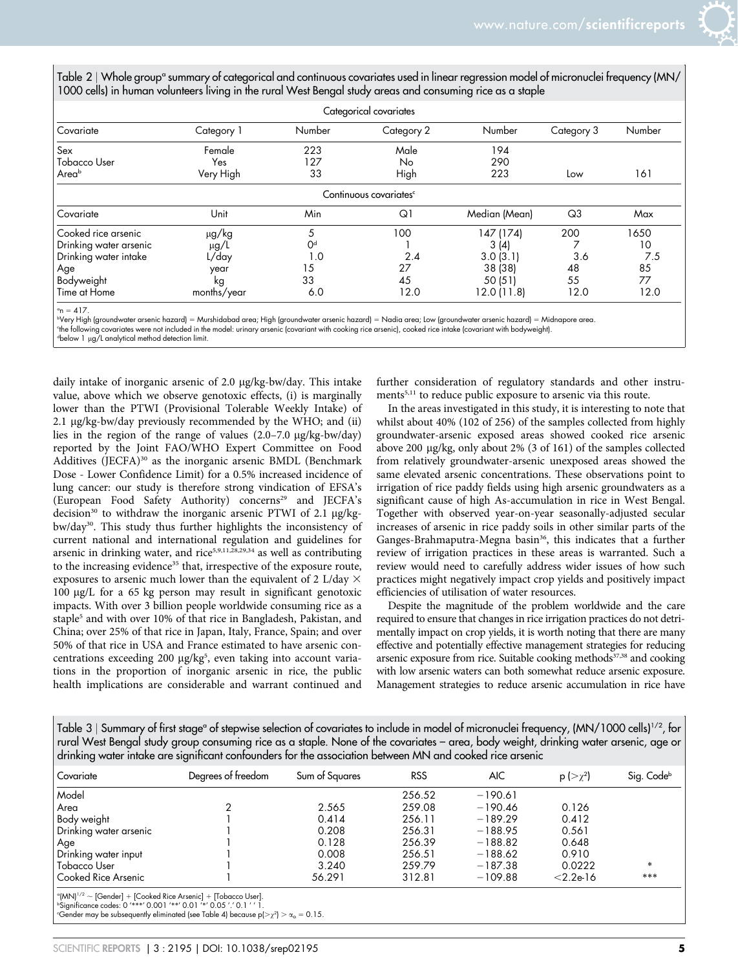| Table 2   Whole groupª summary of categorical and continuous covariates used in linear regression model of micronuclei frequency (MN/ |  |  |
|---------------------------------------------------------------------------------------------------------------------------------------|--|--|
| 1000 cells) in human volunteers living in the rural West Bengal study areas and consuming rice as a staple                            |  |  |

| Categorical covariates |             |                |                                    |               |                |        |  |  |
|------------------------|-------------|----------------|------------------------------------|---------------|----------------|--------|--|--|
| Covariate              | Category 1  | Number         | Category 2                         | Number        | Category 3     | Number |  |  |
| Sex                    | Female      | 223            | Male                               | 194           |                |        |  |  |
| <b>Tobacco User</b>    | Yes         | 127            | No                                 | 290           |                |        |  |  |
| Areab                  | Very High   | 33             | High                               | 223           | Low            | 161    |  |  |
|                        |             |                | Continuous covariates <sup>c</sup> |               |                |        |  |  |
| Covariate              | Unit        | Min            | Q1                                 | Median (Mean) | Q <sub>3</sub> | Max    |  |  |
| Cooked rice arsenic    | μg/kg       | 5              | 100                                | 147 (174)     | 200            | 1650   |  |  |
| Drinking water arsenic | $\mu$ g/L   | O <sup>d</sup> |                                    | 3(4)          |                | 10     |  |  |
| Drinking water intake  | L/day       | 1.0            | 2.4                                | 3.0(3.1)      | 3.6            | 7.5    |  |  |
| Age                    | year        | 15             | 27                                 | 38 (38)       | 48             | 85     |  |  |
| Bodyweight             | kg          | 33             | 45                                 | 50 (51)       | 55             | 77     |  |  |
| Time at Home           | months/year | 6.0            | 12.0                               | 12.0 (11.8)   | 12.0           | 12.0   |  |  |

 $^{\circ}$ n = 417.

bVery High (groundwater arsenic hazard) = Murshidabad area; High (groundwater arsenic hazard) = Nadia area; Low (groundwater arsenic hazard) = Midnapore area.

c the following covariates were not included in the model: urinary arsenic (covariant with cooking rice arsenic), cooked rice intake (covariant with bodyweight).

dbelow 1 µg/L analytical method detection limit.

daily intake of inorganic arsenic of 2.0 mg/kg-bw/day. This intake value, above which we observe genotoxic effects, (i) is marginally lower than the PTWI (Provisional Tolerable Weekly Intake) of 2.1 µg/kg-bw/day previously recommended by the WHO; and (ii) lies in the region of the range of values  $(2.0-7.0 \text{ µg/kg-bw/day})$ reported by the Joint FAO/WHO Expert Committee on Food Additives (JECFA)<sup>30</sup> as the inorganic arsenic BMDL (Benchmark Dose - Lower Confidence Limit) for a 0.5% increased incidence of lung cancer: our study is therefore strong vindication of EFSA's (European Food Safety Authority) concerns<sup>29</sup> and JECFA's decision<sup>30</sup> to withdraw the inorganic arsenic PTWI of 2.1  $\mu$ g/kgbw/day<sup>30</sup>. This study thus further highlights the inconsistency of current national and international regulation and guidelines for arsenic in drinking water, and rice<sup>5,9,11,28,29,34</sup> as well as contributing to the increasing evidence<sup>35</sup> that, irrespective of the exposure route, exposures to arsenic much lower than the equivalent of 2 L/day  $\times$ 100 mg/L for a 65 kg person may result in significant genotoxic impacts. With over 3 billion people worldwide consuming rice as a staple<sup>5</sup> and with over 10% of that rice in Bangladesh, Pakistan, and China; over 25% of that rice in Japan, Italy, France, Spain; and over 50% of that rice in USA and France estimated to have arsenic concentrations exceeding 200 µg/kg<sup>5</sup>, even taking into account variations in the proportion of inorganic arsenic in rice, the public health implications are considerable and warrant continued and

further consideration of regulatory standards and other instruments<sup>5,11</sup> to reduce public exposure to arsenic via this route.

In the areas investigated in this study, it is interesting to note that whilst about 40% (102 of 256) of the samples collected from highly groundwater-arsenic exposed areas showed cooked rice arsenic above 200 mg/kg, only about 2% (3 of 161) of the samples collected from relatively groundwater-arsenic unexposed areas showed the same elevated arsenic concentrations. These observations point to irrigation of rice paddy fields using high arsenic groundwaters as a significant cause of high As-accumulation in rice in West Bengal. Together with observed year-on-year seasonally-adjusted secular increases of arsenic in rice paddy soils in other similar parts of the Ganges-Brahmaputra-Megna basin<sup>36</sup>, this indicates that a further review of irrigation practices in these areas is warranted. Such a review would need to carefully address wider issues of how such practices might negatively impact crop yields and positively impact efficiencies of utilisation of water resources.

Despite the magnitude of the problem worldwide and the care required to ensure that changes in rice irrigation practices do not detrimentally impact on crop yields, it is worth noting that there are many effective and potentially effective management strategies for reducing arsenic exposure from rice. Suitable cooking methods<sup>37,38</sup> and cooking with low arsenic waters can both somewhat reduce arsenic exposure. Management strategies to reduce arsenic accumulation in rice have

Table 3 | Summary of first stage<sup>o</sup> of stepwise selection of covariates to include in model of micronuclei frequency,  $(MN/1000 \text{ cells})^{1/2}$ , for rural West Bengal study group consuming rice as a staple. None of the covariates – area, body weight, drinking water arsenic, age or drinking water intake are significant confounders for the association between MN and cooked rice arsenic

| Covariate              | Degrees of freedom | Sum of Squares | <b>RSS</b> | <b>AIC</b> | $p \left  > \gamma^2 \right $ | Sig. Code <sup>b</sup> |
|------------------------|--------------------|----------------|------------|------------|-------------------------------|------------------------|
| Model                  |                    |                | 256.52     | $-190.61$  |                               |                        |
| Area                   |                    | 2.565          | 259.08     | $-190.46$  | 0.126                         |                        |
| Body weight            |                    | 0.414          | 256.11     | $-189.29$  | 0.412                         |                        |
| Drinking water arsenic |                    | 0.208          | 256.31     | $-188.95$  | 0.561                         |                        |
| Age                    |                    | 0.128          | 256.39     | $-188.82$  | 0.648                         |                        |
| Drinking water input   |                    | 0.008          | 256.51     | $-188.62$  | 0.910                         |                        |
| Tobacco User           |                    | 3.240          | 259.79     | $-187.38$  | 0.0222                        | $*$                    |
| Cooked Rice Arsenic    |                    | 56.291         | 312.81     | $-109.88$  | $< 2.2e-16$                   | ***                    |

a (MN)1/2 , [Gender] 1 [Cooked Rice Arsenic] 1 [Tobacco User]. <sup>b</sup>Significance codes: 0 '\*\*\*' 0.001 '\*\*' 0.01 '\*' 0.05 '.' 0.1 ' ' 1.

"Gender may be subsequently eliminated (see Table 4) because  $p(>\chi^2)> \alpha_o=0.15$ .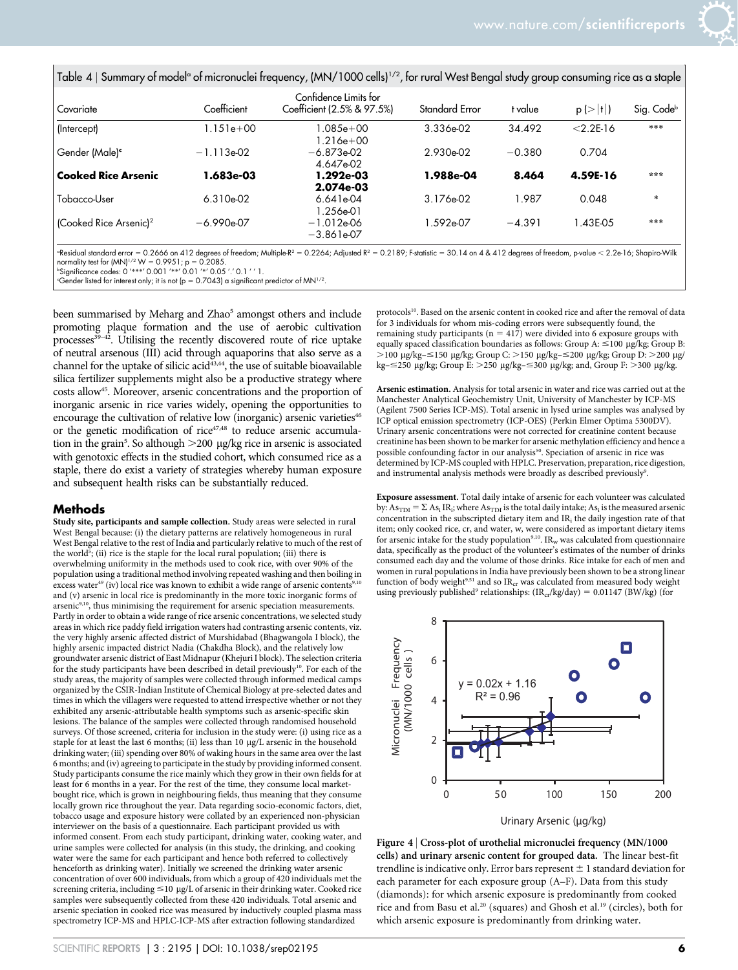|                                    |                  | Confidence Limits for          |                |          |               |                        |
|------------------------------------|------------------|--------------------------------|----------------|----------|---------------|------------------------|
| Covariate                          | Coefficient      | Coefficient (2.5% & 97.5%)     | Standard Error | t value  | p (>  t )     | Sig. Code <sup>b</sup> |
| (Intercept)                        | $1.151e + 00$    | $1.085e + 00$<br>$1.216e + 00$ | 3.336e-02      | 34.492   | $< 2.2E - 16$ | ***                    |
| Gender (Male) <sup>e</sup>         | $-1.113e-02$     | $-6.873e-02$<br>4.647e-02      | 2.930e-02      | $-0.380$ | 0.704         |                        |
| <b>Cooked Rice Arsenic</b>         | <b>1.683e-03</b> | 1.292e-03<br>2.074e-03         | 1.988e-04      | 8.464    | 4.59E-16      | $* * *$                |
| Tobacco-User                       | 6.310e-02        | 6.641e04<br>1.256e-01          | 3.176e-02      | 1.987    | 0.048         | $\ast$                 |
| (Cooked Rice Arsenic) <sup>2</sup> | $-6.990e-07$     | $-1.012e-06$<br>$-3.861e-07$   | 592e-07.       | $-4.391$ | 1.43E-05      | ***                    |

 $a_{\rm B}$  Residual standard error = 0.2666 on 412 degrees of freedom; Multiple-R2 = 0.2264; Adjusted R2 = 0.2189; F-statistic = 30.14 on 4 & 412 degrees of freedom, p-value  $<$  2.2e-16; Shapiro-Wilk normality test for  $(MN)^{1/2}$  W = 0.9951; p = 0.2085.

<sup>b</sup>Significance codes: 0 '\*\*\*' 0.001 '\*\*' 0.01 '\*' 0.05 '.' 0.1 ' ' 1.

"Gender listed for interest only; it is not (p = 0.7043) a significant predictor of MN<sup>1/2</sup>.

been summarised by Meharg and Zhao<sup>5</sup> amongst others and include promoting plaque formation and the use of aerobic cultivation processes $39-42$ . Utilising the recently discovered route of rice uptake of neutral arsenous (III) acid through aquaporins that also serve as a channel for the uptake of silicic acid $43,44$ , the use of suitable bioavailable silica fertilizer supplements might also be a productive strategy where costs allow<sup>45</sup>. Moreover, arsenic concentrations and the proportion of inorganic arsenic in rice varies widely, opening the opportunities to encourage the cultivation of relative low (inorganic) arsenic varieties<sup>46</sup> or the genetic modification of rice<sup>47,48</sup> to reduce arsenic accumulation in the grain<sup>5</sup>. So although >200 µg/kg rice in arsenic is associated with genotoxic effects in the studied cohort, which consumed rice as a staple, there do exist a variety of strategies whereby human exposure and subsequent health risks can be substantially reduced.

#### Methods

Study site, participants and sample collection. Study areas were selected in rural West Bengal because: (i) the dietary patterns are relatively homogeneous in rural West Bengal relative to the rest of India and particularly relative to much of the rest of the world<sup>5</sup>; (ii) rice is the staple for the local rural population; (iii) there is overwhelming uniformity in the methods used to cook rice, with over 90% of the population using a traditional method involving repeated washing and then boiling in excess water<sup>49</sup> (iv) local rice was known to exhibit a wide range of arsenic contents<sup>9,10</sup> and (v) arsenic in local rice is predominantly in the more toxic inorganic forms of arsenic<sup>9,10</sup>, thus minimising the requirement for arsenic speciation measurements. Partly in order to obtain a wide range of rice arsenic concentrations, we selected study areas in which rice paddy field irrigation waters had contrasting arsenic contents, viz. the very highly arsenic affected district of Murshidabad (Bhagwangola I block), the highly arsenic impacted district Nadia (Chakdha Block), and the relatively low groundwater arsenic district of East Midnapur (Khejuri I block). The selection criteria for the study participants have been described in detail previously<sup>10</sup>. For each of the study areas, the majority of samples were collected through informed medical camps organized by the CSIR-Indian Institute of Chemical Biology at pre-selected dates and times in which the villagers were requested to attend irrespective whether or not they exhibited any arsenic-attributable health symptoms such as arsenic-specific skin lesions. The balance of the samples were collected through randomised household surveys. Of those screened, criteria for inclusion in the study were: (i) using rice as a staple for at least the last 6 months; (ii) less than 10 µg/L arsenic in the household drinking water; (iii) spending over 80% of waking hours in the same area over the last 6 months; and (iv) agreeing to participate in the study by providing informed consent. Study participants consume the rice mainly which they grow in their own fields for at least for 6 months in a year. For the rest of the time, they consume local marketbought rice, which is grown in neighbouring fields, thus meaning that they consume locally grown rice throughout the year. Data regarding socio-economic factors, diet, tobacco usage and exposure history were collated by an experienced non-physician interviewer on the basis of a questionnaire. Each participant provided us with informed consent. From each study participant, drinking water, cooking water, and urine samples were collected for analysis (in this study, the drinking, and cooking water were the same for each participant and hence both referred to collectively henceforth as drinking water). Initially we screened the drinking water arsenic concentration of over 600 individuals, from which a group of 420 individuals met the screening criteria, including  $\leq$  10 µg/L of arsenic in their drinking water. Cooked rice samples were subsequently collected from these 420 individuals. Total arsenic and arsenic speciation in cooked rice was measured by inductively coupled plasma mass spectrometry ICP-MS and HPLC-ICP-MS after extraction following standardized

protocols<sup>10</sup>. Based on the arsenic content in cooked rice and after the removal of data for 3 individuals for whom mis-coding errors were subsequently found, the remaining study participants ( $n = 417$ ) were divided into 6 exposure groups with equally spaced classification boundaries as follows: Group A:  $\leq$ 100 µg/kg; Group B: >100 µg/kg-≤150 µg/kg; Group C: >150 µg/kg-≤200 µg/kg; Group D: >200 µg/ kg– $\leq$ 250 µg/kg; Group E:  $>$ 250 µg/kg– $\leq$ 300 µg/kg; and, Group F:  $>$ 300 µg/kg.

Arsenic estimation. Analysis for total arsenic in water and rice was carried out at the Manchester Analytical Geochemistry Unit, University of Manchester by ICP-MS (Agilent 7500 Series ICP-MS). Total arsenic in lysed urine samples was analysed by ICP optical emission spectrometry (ICP-OES) (Perkin Elmer Optima 5300DV). Urinary arsenic concentrations were not corrected for creatinine content because creatinine has been shown to be marker for arsenic methylation efficiency and hence a possible confounding factor in our analysis<sup>50</sup>. Speciation of arsenic in rice was determined by ICP-MS coupled with HPLC. Preservation, preparation, rice digestion, and instrumental analysis methods were broadly as described previously<sup>9</sup>.

Exposure assessment. Total daily intake of arsenic for each volunteer was calculated by:  $As_{TDI} = \sum As_i IR_i$ ; where  $As_{TDI}$  is the total daily intake;  $As_i$  is the measured arsenic concentration in the subscripted dietary item and  $IR_i$  the daily ingestion rate of that item; only cooked rice, cr, and water, w, were considered as important dietary items for arsenic intake for the study population<sup>9,10</sup>. IR<sub>w</sub> was calculated from questionnaire data, specifically as the product of the volunteer's estimates of the number of drinks consumed each day and the volume of those drinks. Rice intake for each of men and women in rural populations in India have previously been shown to be a strong linear function of body weight $951$  and so IR<sub>cr</sub> was calculated from measured body weight using previously published<sup>9</sup> relationships: (IR<sub>cr</sub>/kg/day) = 0.01147 (BW/kg) (for



Figure 4 <sup>|</sup> Cross-plot of urothelial micronuclei frequency (MN/1000 cells) and urinary arsenic content for grouped data. The linear best-fit trendline is indicative only. Error bars represent  $\pm 1$  standard deviation for each parameter for each exposure group (A–F). Data from this study (diamonds): for which arsenic exposure is predominantly from cooked rice and from Basu et al.<sup>20</sup> (squares) and Ghosh et al.<sup>19</sup> (circles), both for which arsenic exposure is predominantly from drinking water.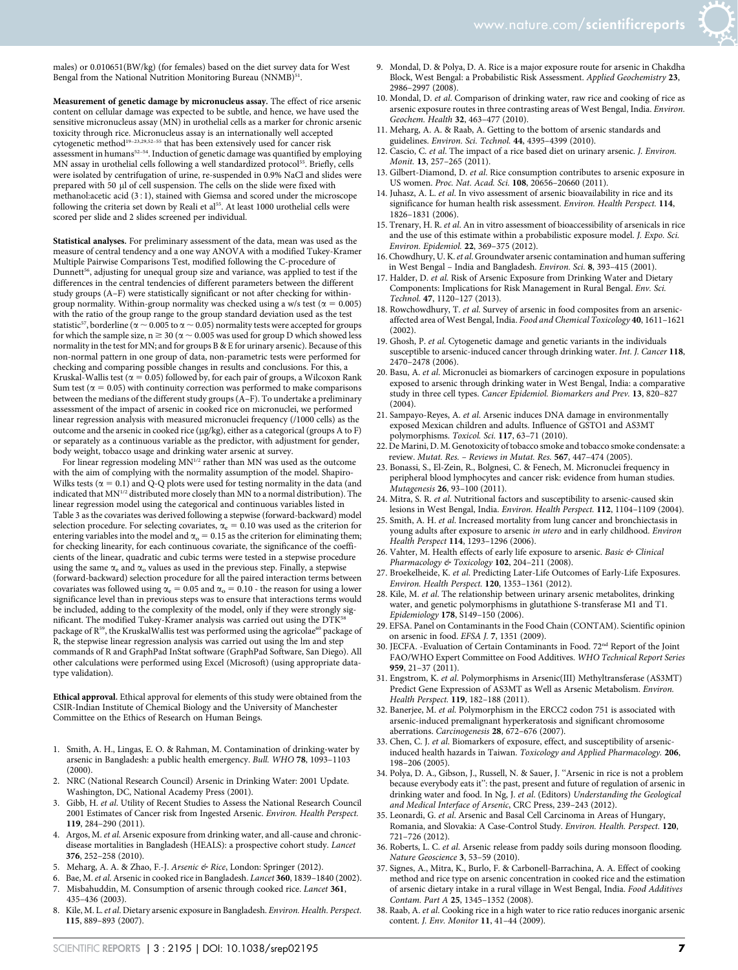males) or 0.010651(BW/kg) (for females) based on the diet survey data for West Bengal from the National Nutrition Monitoring Bureau (NNMB)<sup>51</sup>.

Measurement of genetic damage by micronucleus assay. The effect of rice arsenic content on cellular damage was expected to be subtle, and hence, we have used the sensitive micronucleus assay (MN) in urothelial cells as a marker for chronic arsenic toxicity through rice. Micronucleus assay is an internationally well accepted cytogenetic method<sup>19–23,29,52–55</sup> that has been extensively used for cancer risk assessment in humans<sup>52-54</sup>. Induction of genetic damage was quantified by employing MN assay in urothelial cells following a well standardized protocol<sup>55</sup>. Briefly, cells were isolated by centrifugation of urine, re-suspended in 0.9% NaCl and slides were prepared with 50 µl of cell suspension. The cells on the slide were fixed with methanol:acetic acid (3:1), stained with Giemsa and scored under the microscope following the criteria set down by Reali et al<sup>55</sup>. At least 1000 urothelial cells were scored per slide and 2 slides screened per individual.

Statistical analyses. For preliminary assessment of the data, mean was used as the measure of central tendency and a one way ANOVA with a modified Tukey-Kramer Multiple Pairwise Comparisons Test, modified following the C-procedure of Dunnett<sup>56</sup>, adjusting for unequal group size and variance, was applied to test if the differences in the central tendencies of different parameters between the different study groups (A–F) were statistically significant or not after checking for withingroup normality. Within-group normality was checked using a w/s test ( $\alpha = 0.005$ ) with the ratio of the group range to the group standard deviation used as the test statistic $^{57}$  , borderline (  $\alpha \sim 0.005$  to  $\alpha \sim 0.05$  ) normality tests were accepted for groups for which the sample size,  $n \ge 30$  ( $\alpha \sim 0.005$  was used for group D which showed less normality in the test for MN; and for groups B & E for urinary arsenic). Because of this non-normal pattern in one group of data, non-parametric tests were performed for checking and comparing possible changes in results and conclusions. For this, a Kruskal-Wallis test ( $\alpha = 0.05$ ) followed by, for each pair of groups, a Wilcoxon Rank Sum test ( $\alpha = 0.05$ ) with continuity correction was performed to make comparisons between the medians of the different study groups (A–F). To undertake a preliminary assessment of the impact of arsenic in cooked rice on micronuclei, we performed linear regression analysis with measured micronuclei frequency (/1000 cells) as the outcome and the arsenic in cooked rice (mg/kg), either as a categorical (groups A to F) or separately as a continuous variable as the predictor, with adjustment for gender, body weight, tobacco usage and drinking water arsenic at survey.

For linear regression modeling  $MN^{1/2}$  rather than MN was used as the outcome with the aim of complying with the normality assumption of the model. Shapiro-Wilks tests ( $\alpha = 0.1$ ) and Q-Q plots were used for testing normality in the data (and indicated that MN<sup>1/2</sup> distributed more closely than MN to a normal distribution). The linear regression model using the categorical and continuous variables listed in Table 3 as the covariates was derived following a stepwise (forward-backward) model selection procedure. For selecting covariates,  $\alpha_e = 0.10$  was used as the criterion for entering variables into the model and  $\alpha_0 = 0.15$  as the criterion for eliminating them; for checking linearity, for each continuous covariate, the significance of the coefficients of the linear, quadratic and cubic terms were tested in a stepwise procedure using the same  $\alpha_e$  and  $\alpha_o$  values as used in the previous step. Finally, a stepwise (forward-backward) selection procedure for all the paired interaction terms between covariates was followed using  $\alpha_e = 0.05$  and  $\alpha_o = 0.10$  - the reason for using a lower significance level than in previous steps was to ensure that interactions terms would be included, adding to the complexity of the model, only if they were strongly significant. The modified Tukey-Kramer analysis was carried out using the DTK<sup>58</sup> package of R<sup>59</sup>, the KruskalWallis test was performed using the agricolae<sup>60</sup> package of R, the stepwise linear regression analysis was carried out using the lm and step commands of R and GraphPad InStat software (GraphPad Software, San Diego). All other calculations were performed using Excel (Microsoft) (using appropriate datatype validation).

Ethical approval. Ethical approval for elements of this study were obtained from the CSIR-Indian Institute of Chemical Biology and the University of Manchester Committee on the Ethics of Research on Human Beings.

- 1. Smith, A. H., Lingas, E. O. & Rahman, M. Contamination of drinking-water by arsenic in Bangladesh: a public health emergency. *Bull. WHO* 78, 1093–1103 (2000).
- 2. NRC (National Research Council) Arsenic in Drinking Water: 2001 Update. Washington, DC, National Academy Press (2001).
- 3. Gibb, H. *et al*. Utility of Recent Studies to Assess the National Research Council 2001 Estimates of Cancer risk from Ingested Arsenic. *Environ. Health Perspect.* 119, 284–290 (2011).
- 4. Argos, M.*et al*. Arsenic exposure from drinking water, and all-cause and chronicdisease mortalities in Bangladesh (HEALS): a prospective cohort study. *Lancet* 376, 252–258 (2010).
- 5. Meharg, A. A. & Zhao, F.-J. *Arsenic & Rice*, London: Springer (2012).
- 6. Bae, M.*et al*. Arsenic in cooked rice in Bangladesh. *Lancet* 360, 1839–1840 (2002).
- 7. Misbahuddin, M. Consumption of arsenic through cooked rice. *Lancet* 361, 435–436 (2003).
- 8. Kile, M. L.*et al*. Dietary arsenic exposure in Bangladesh. *Environ. Health. Perspect.* 115, 889–893 (2007).
- 9. Mondal, D. & Polya, D. A. Rice is a major exposure route for arsenic in Chakdha Block, West Bengal: a Probabilistic Risk Assessment. *Applied Geochemistry* 23, 2986–2997 (2008).
- 10. Mondal, D. *et al*. Comparison of drinking water, raw rice and cooking of rice as arsenic exposure routes in three contrasting areas of West Bengal, India. *Environ. Geochem. Health* 32, 463–477 (2010).
- 11. Meharg, A. A. & Raab, A. Getting to the bottom of arsenic standards and guidelines. *Environ. Sci. Technol.* 44, 4395–4399 (2010).
- 12. Cascio, C. *et al*. The impact of a rice based diet on urinary arsenic. *J. Environ. Monit.* 13, 257–265 (2011).
- 13. Gilbert-Diamond, D. *et al*. Rice consumption contributes to arsenic exposure in US women. *Proc. Nat. Acad. Sci.* 108, 20656–20660 (2011).
- 14. Juhasz, A. L. *et al*. In vivo assessment of arsenic bioavailability in rice and its significance for human health risk assessment. *Environ. Health Perspect.* 114, 1826–1831 (2006).
- 15. Trenary, H. R. *et al*. An in vitro assessment of bioaccessibility of arsenicals in rice and the use of this estimate within a probabilistic exposure model. *J. Expo. Sci. Environ. Epidemiol.* 22, 369–375 (2012).
- 16. Chowdhury, U. K.*et al*. Groundwater arsenic contamination and human suffering in West Bengal – India and Bangladesh. *Environ. Sci.* 8, 393–415 (2001).
- 17. Halder, D. *et al*. Risk of Arsenic Exposure from Drinking Water and Dietary Components: Implications for Risk Management in Rural Bengal. *Env. Sci. Technol.* 47, 1120–127 (2013).
- 18. Rowchowdhury, T. *et al*. Survey of arsenic in food composites from an arsenicaffected area of West Bengal, India. *Food and Chemical Toxicology* 40, 1611–1621 (2002).
- 19. Ghosh, P. *et al*. Cytogenetic damage and genetic variants in the individuals susceptible to arsenic-induced cancer through drinking water. *Int. J. Cancer* 118, 2470–2478 (2006).
- 20. Basu, A. *et al*. Micronuclei as biomarkers of carcinogen exposure in populations exposed to arsenic through drinking water in West Bengal, India: a comparative study in three cell types. *Cancer Epidemiol. Biomarkers and Prev.* 13, 820–827  $(2004)$ .
- 21. Sampayo-Reyes, A. *et al*. Arsenic induces DNA damage in environmentally exposed Mexican children and adults. Influence of GSTO1 and AS3MT polymorphisms. *Toxicol. Sci.* 117, 63–71 (2010).
- 22. De Marini, D. M. Genotoxicity of tobacco smoke and tobacco smoke condensate: a review. *Mutat. Res. – Reviews in Mutat. Res.* 567, 447–474 (2005).
- 23. Bonassi, S., El-Zein, R., Bolgnesi, C. & Fenech, M. Micronuclei frequency in peripheral blood lymphocytes and cancer risk: evidence from human studies. *Mutagenesis* 26, 93–100 (2011).
- 24. Mitra, S. R. *et al*. Nutritional factors and susceptibility to arsenic-caused skin lesions in West Bengal, India. *Environ. Health Perspect.* 112, 1104–1109 (2004).
- 25. Smith, A. H. *et al*. Increased mortality from lung cancer and bronchiectasis in young adults after exposure to arsenic *in utero* and in early childhood. *Environ Health Perspect* 114, 1293–1296 (2006).
- 26. Vahter, M. Health effects of early life exposure to arsenic. *Basic & Clinical Pharmacology & Toxicology* 102, 204–211 (2008).
- 27. Broekelheide, K. *et al*. Predicting Later-Life Outcomes of Early-Life Exposures. *Environ. Health Perspect.* 120, 1353–1361 (2012).
- 28. Kile, M. *et al*. The relationship between urinary arsenic metabolites, drinking water, and genetic polymorphisms in glutathione S-transferase M1 and T1. *Epidemiology* 178, S149–150 (2006).
- 29. EFSA. Panel on Contaminants in the Food Chain (CONTAM). Scientific opinion on arsenic in food. *EFSA J.* 7, 1351 (2009).
- 30. JECFA. -Evaluation of Certain Contaminants in Food. 72nd Report of the Joint FAO/WHO Expert Committee on Food Additives. *WHO Technical Report Series* 959, 21–37 (2011).
- 31. Engstrom, K. *et al*. Polymorphisms in Arsenic(III) Methyltransferase (AS3MT) Predict Gene Expression of AS3MT as Well as Arsenic Metabolism. *Environ. Health Perspect.* 119, 182–188 (2011).
- 32. Banerjee, M. *et al*. Polymorphism in the ERCC2 codon 751 is associated with arsenic-induced premalignant hyperkeratosis and significant chromosome aberrations. *Carcinogenesis* 28, 672–676 (2007).
- 33. Chen, C. J. *et al*. Biomarkers of exposure, effect, and susceptibility of arsenicinduced health hazards in Taiwan. *Toxicology and Applied Pharmacology.* 206, 198–206 (2005).
- 34. Polya, D. A., Gibson, J., Russell, N. & Sauer, J. ''Arsenic in rice is not a problem because everybody eats it'': the past, present and future of regulation of arsenic in drinking water and food. In Ng, J. *et al*. (Editors) *Understanding the Geological and Medical Interface of Arsenic*, CRC Press, 239–243 (2012).
- 35. Leonardi, G. *et al*. Arsenic and Basal Cell Carcinoma in Areas of Hungary, Romania, and Slovakia: A Case-Control Study. *Environ. Health. Perspect.* 120, 721–726 (2012).
- 36. Roberts, L. C. *et al*. Arsenic release from paddy soils during monsoon flooding. *Nature Geoscience* 3, 53–59 (2010).
- 37. Signes, A., Mitra, K., Burlo, F. & Carbonell-Barrachina, A. A. Effect of cooking method and rice type on arsenic concentration in cooked rice and the estimation of arsenic dietary intake in a rural village in West Bengal, India. *Food Additives Contam. Part A* 25, 1345–1352 (2008).
- 38. Raab, A. *et al*. Cooking rice in a high water to rice ratio reduces inorganic arsenic content. *J. Env. Monitor* 11, 41–44 (2009).